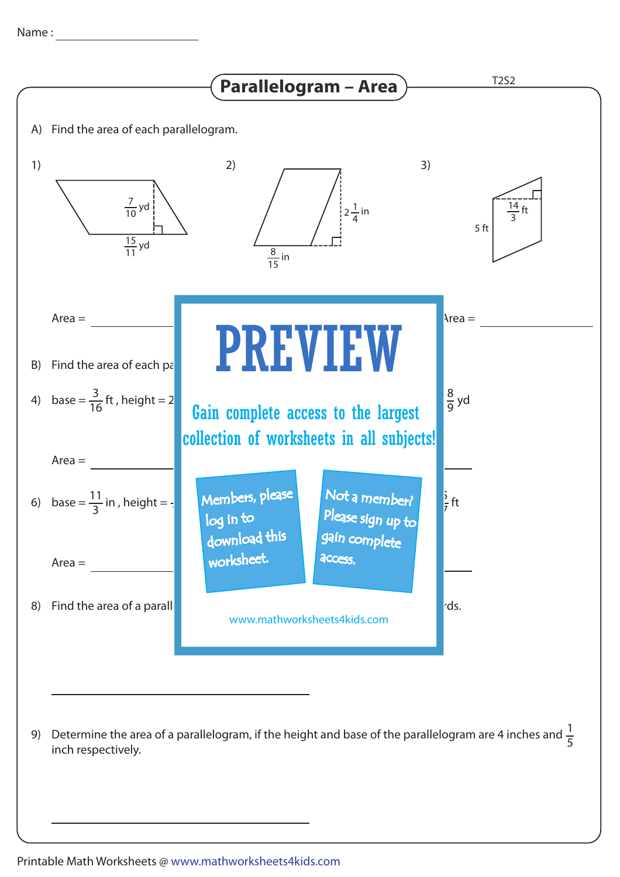

Determine the area of a parallelogram, if the height and base of the parallelogram are 4 inches and  $\frac{1}{\epsilon}$ inch respectively. 9) Determine the area of a parallelogram, if the height and base of the parallelogram are 4 inches and  $\frac{1}{5}$